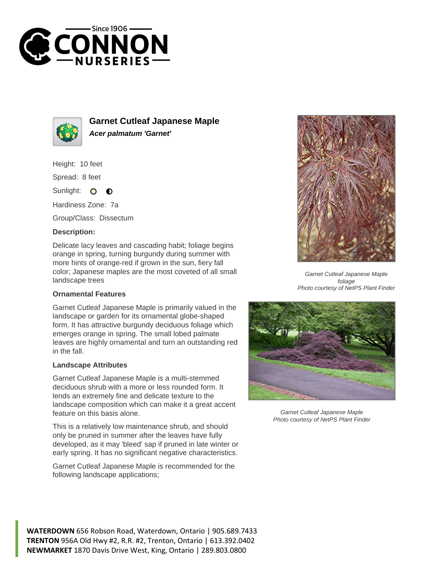



**Garnet Cutleaf Japanese Maple Acer palmatum 'Garnet'**

Height: 10 feet

Spread: 8 feet

Sunlight:  $\circ$  $\bullet$ 

Hardiness Zone: 7a

Group/Class: Dissectum

## **Description:**

Delicate lacy leaves and cascading habit; foliage begins orange in spring, turning burgundy during summer with more hints of orange-red if grown in the sun, fiery fall color; Japanese maples are the most coveted of all small landscape trees

## **Ornamental Features**

Garnet Cutleaf Japanese Maple is primarily valued in the landscape or garden for its ornamental globe-shaped form. It has attractive burgundy deciduous foliage which emerges orange in spring. The small lobed palmate leaves are highly ornamental and turn an outstanding red in the fall.

## **Landscape Attributes**

Garnet Cutleaf Japanese Maple is a multi-stemmed deciduous shrub with a more or less rounded form. It lends an extremely fine and delicate texture to the landscape composition which can make it a great accent feature on this basis alone.

This is a relatively low maintenance shrub, and should only be pruned in summer after the leaves have fully developed, as it may 'bleed' sap if pruned in late winter or early spring. It has no significant negative characteristics.

Garnet Cutleaf Japanese Maple is recommended for the following landscape applications;



Garnet Cutleaf Japanese Maple foliage Photo courtesy of NetPS Plant Finder



Garnet Cutleaf Japanese Maple Photo courtesy of NetPS Plant Finder

**WATERDOWN** 656 Robson Road, Waterdown, Ontario | 905.689.7433 **TRENTON** 956A Old Hwy #2, R.R. #2, Trenton, Ontario | 613.392.0402 **NEWMARKET** 1870 Davis Drive West, King, Ontario | 289.803.0800